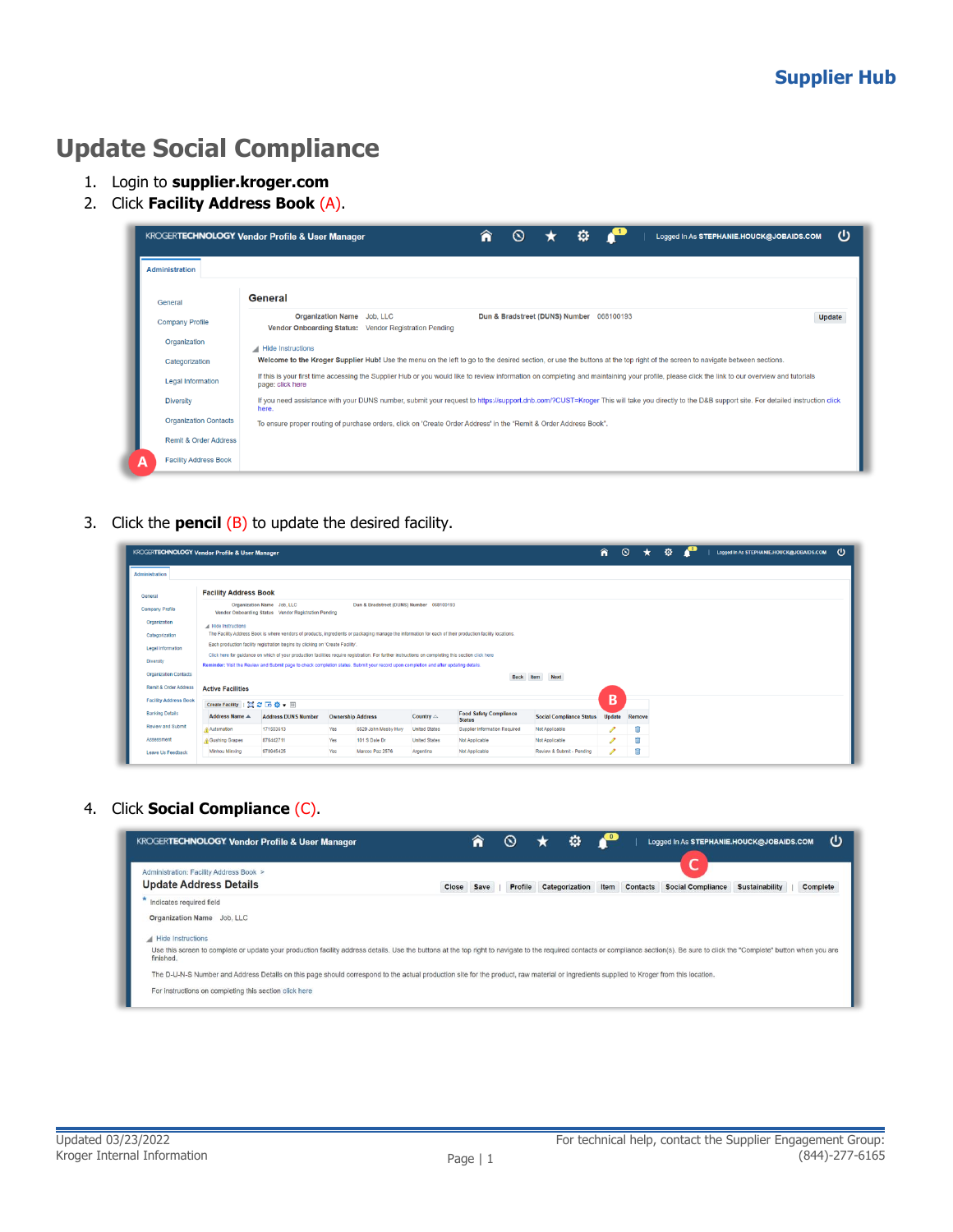## **Update Social Compliance**

- 1. Login to **supplier.kroger.com**
- 2. Click **Facility Address Book** (A).

|                                  | o<br><b>KROGERTECHNOLOGY Vendor Profile &amp; User Manager</b>                                                                                                                                                    | ധ<br>Logged In As STEPHANIE.HOUCK@JOBAIDS.COM |
|----------------------------------|-------------------------------------------------------------------------------------------------------------------------------------------------------------------------------------------------------------------|-----------------------------------------------|
| <b>Administration</b>            |                                                                                                                                                                                                                   |                                               |
| General                          | General                                                                                                                                                                                                           |                                               |
| <b>Company Profile</b>           | Organization Name Job, LLC<br>Dun & Bradstreet (DUNS) Number 068100193<br>Vendor Onboarding Status: Vendor Registration Pending                                                                                   | Update                                        |
| Organization                     | Hide Instructions                                                                                                                                                                                                 |                                               |
| Categorization                   | Welcome to the Kroger Supplier Hub! Use the menu on the left to go to the desired section, or use the buttons at the top right of the screen to navigate between sections.                                        |                                               |
| <b>Legal Information</b>         | If this is your first time accessing the Supplier Hub or you would like to review information on completing and maintaining your profile, please click the link to our overview and tutorials<br>page: click here |                                               |
| <b>Diversity</b>                 | If you need assistance with your DUNS number, submit your request to https://support.dnb.com/?CUST=Kroger This will take you directly to the D&B support site. For detailed instruction click<br>here.            |                                               |
| <b>Organization Contacts</b>     | To ensure proper routing of purchase orders, click on 'Create Order Address' in the "Remit & Order Address Book".                                                                                                 |                                               |
| <b>Remit &amp; Order Address</b> |                                                                                                                                                                                                                   |                                               |
| <b>Facility Address Book</b>     |                                                                                                                                                                                                                   |                                               |

3. Click the **pencil** (B) to update the desired facility.

|                              | KROGERTECHNOLOGY Vendor Profile & User Manager |                                                                                                                                                     |                          |                                          |                      |                                                                                                                                                          |                                 | 侖             | $\circ$ | $\star$ | Ø. |  |  | Logged In As STEPHANIE.HOUCK@JOBAIDS.COM | υ |
|------------------------------|------------------------------------------------|-----------------------------------------------------------------------------------------------------------------------------------------------------|--------------------------|------------------------------------------|----------------------|----------------------------------------------------------------------------------------------------------------------------------------------------------|---------------------------------|---------------|---------|---------|----|--|--|------------------------------------------|---|
| <b>Administration</b>        |                                                |                                                                                                                                                     |                          |                                          |                      |                                                                                                                                                          |                                 |               |         |         |    |  |  |                                          |   |
| General                      | <b>Facility Address Book</b>                   |                                                                                                                                                     |                          |                                          |                      |                                                                                                                                                          |                                 |               |         |         |    |  |  |                                          |   |
| Company Profile              |                                                | Organization Name Job, LLC<br>Vendor Onboarding Status Vendor Registration Pending                                                                  |                          | Dun & Bradstreet (DUNS) Number 068100193 |                      |                                                                                                                                                          |                                 |               |         |         |    |  |  |                                          |   |
| Organization                 | A Hide Instructions                            |                                                                                                                                                     |                          |                                          |                      |                                                                                                                                                          |                                 |               |         |         |    |  |  |                                          |   |
| Categorization               |                                                |                                                                                                                                                     |                          |                                          |                      | The Facility Address Book is where vendors of products, ingredients or packaging manage the information for each of their production facility locations, |                                 |               |         |         |    |  |  |                                          |   |
| Legal Information            |                                                | Each production facility registration begins by clicking on 'Create Facility'.                                                                      |                          |                                          |                      |                                                                                                                                                          |                                 |               |         |         |    |  |  |                                          |   |
| Diversity                    |                                                | Click here for guidance on which of your production facilities require registration. For further instructions on completing this section click here |                          |                                          |                      |                                                                                                                                                          |                                 |               |         |         |    |  |  |                                          |   |
|                              |                                                | Reminder: Visit the Review and Submit page to check completion status. Submit your record upon completion and after updating details.               |                          |                                          |                      |                                                                                                                                                          |                                 |               |         |         |    |  |  |                                          |   |
| <b>Organization Contacts</b> |                                                |                                                                                                                                                     |                          |                                          |                      | <b>Back</b>                                                                                                                                              | Item<br><b>Next</b>             |               |         |         |    |  |  |                                          |   |
| Remit & Order Address        | <b>Active Facilities</b>                       |                                                                                                                                                     |                          |                                          |                      |                                                                                                                                                          |                                 |               |         |         |    |  |  |                                          |   |
| <b>Facility Address Book</b> | Create Facility   图 2 回 卷 v 画                  |                                                                                                                                                     |                          |                                          |                      |                                                                                                                                                          |                                 | B             |         |         |    |  |  |                                          |   |
| <b>Banking Details</b>       | <b>Address Name A</b>                          | <b>Address DUNS Number</b>                                                                                                                          | <b>Ownership Address</b> |                                          | Country $\triangle$  | <b>Food Safety Compliance</b><br><b>Status</b>                                                                                                           | <b>Social Compliance Status</b> | <b>Update</b> | Remove  |         |    |  |  |                                          |   |
|                              |                                                |                                                                                                                                                     |                          |                                          |                      |                                                                                                                                                          |                                 |               |         |         |    |  |  |                                          |   |
| Review and Submit            | Automation                                     | 171503613                                                                                                                                           | Yes                      | 6529 John Mosby Hwy                      | <b>United States</b> | Supplier Information Required                                                                                                                            | Not Applicable                  |               | Ĥ       |         |    |  |  |                                          |   |
| Assessment                   | Gushing Grapes                                 | 876442711                                                                                                                                           | Yes                      | 101 S Dale Dr                            | <b>United States</b> | Not Applicable                                                                                                                                           | Not Applicable                  | ℐ             | Ĥ       |         |    |  |  |                                          |   |

4. Click **Social Compliance** (C).

| <b>KROGERTECHNOLOGY Vendor Profile &amp; User Manager</b>                                                                                                                                                                                   |       | лT   |         | o              | $\bullet$ |                 | Logged In As STEPHANIE.HOUCK@JOBAIDS.COM |                       | υ        |
|---------------------------------------------------------------------------------------------------------------------------------------------------------------------------------------------------------------------------------------------|-------|------|---------|----------------|-----------|-----------------|------------------------------------------|-----------------------|----------|
| Administration: Facility Address Book ><br><b>Update Address Details</b>                                                                                                                                                                    | Close | Save | Profile | Categorization | Item      | <b>Contacts</b> | <b>Social Compliance</b>                 | <b>Sustainability</b> | Complete |
| Indicates required field                                                                                                                                                                                                                    |       |      |         |                |           |                 |                                          |                       |          |
| Organization Name Job, LLC                                                                                                                                                                                                                  |       |      |         |                |           |                 |                                          |                       |          |
| Hide Instructions                                                                                                                                                                                                                           |       |      |         |                |           |                 |                                          |                       |          |
| Use this screen to complete or update your production facility address details. Use the buttons at the top right to navigate to the required contacts or compliance section(s). Be sure to click the "Complete" button when yo<br>finished. |       |      |         |                |           |                 |                                          |                       |          |
| The D-U-N-S Number and Address Details on this page should correspond to the actual production site for the product, raw material or ingredients supplied to Kroger from this location,                                                     |       |      |         |                |           |                 |                                          |                       |          |
| For instructions on completing this section click here                                                                                                                                                                                      |       |      |         |                |           |                 |                                          |                       |          |
|                                                                                                                                                                                                                                             |       |      |         |                |           |                 |                                          |                       |          |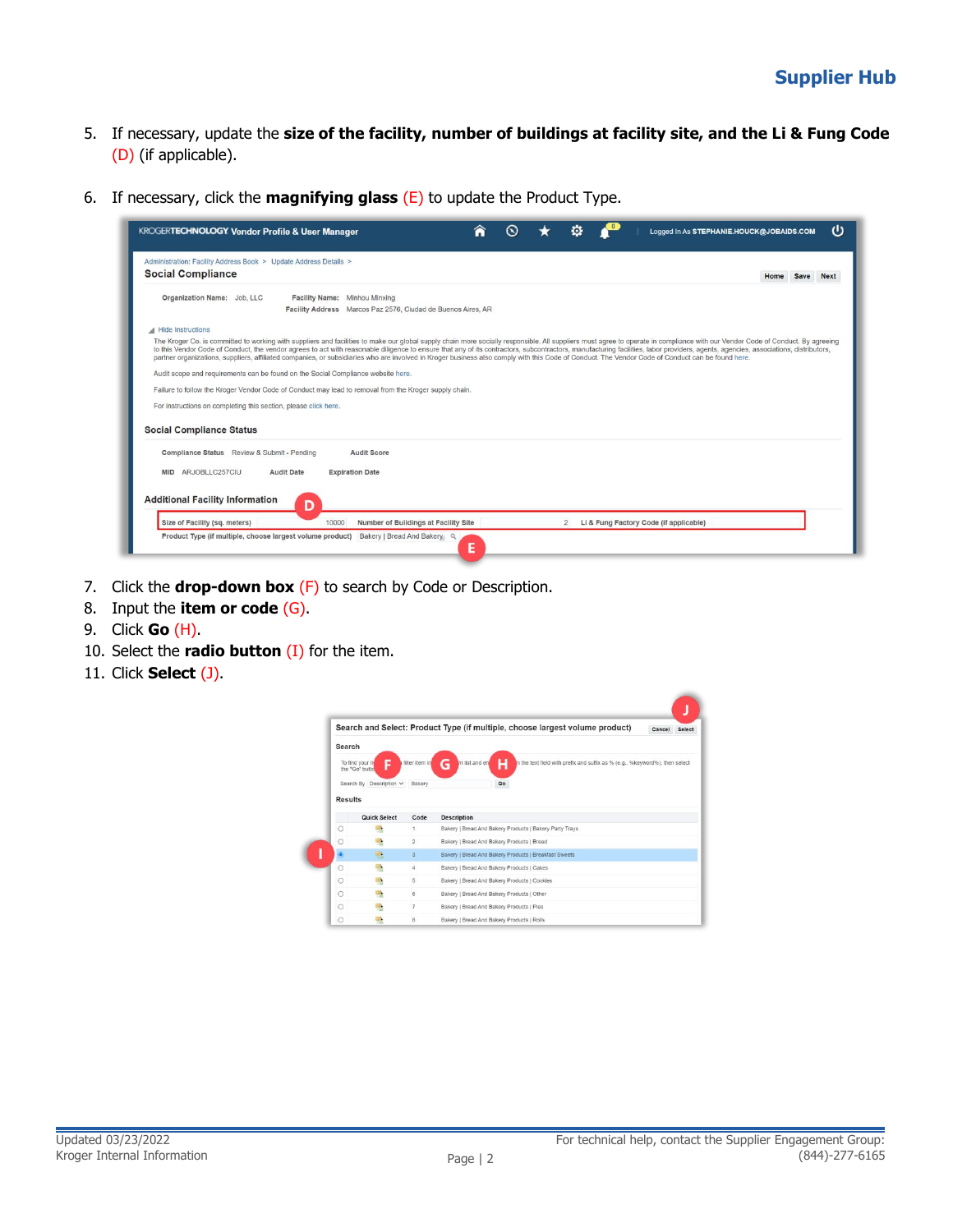- 5. If necessary, update the **size of the facility, number of buildings at facility site, and the Li & Fung Code** (D) (if applicable).
- 6. If necessary, click the **magnifying glass** (E) to update the Product Type.

| <b>Social Compliance</b>                                                                                                                                                                                                                                                                                                                                                                                                                                                                                                                                                                                                                                             |  | Home Save<br><b>Next</b> |
|----------------------------------------------------------------------------------------------------------------------------------------------------------------------------------------------------------------------------------------------------------------------------------------------------------------------------------------------------------------------------------------------------------------------------------------------------------------------------------------------------------------------------------------------------------------------------------------------------------------------------------------------------------------------|--|--------------------------|
| Organization Name: Job, LLC<br>Facility Name: Minhou Minxing<br>Facility Address Marcos Paz 2576, Cludad de Buenos Aires, AR                                                                                                                                                                                                                                                                                                                                                                                                                                                                                                                                         |  |                          |
| Hide Instructions                                                                                                                                                                                                                                                                                                                                                                                                                                                                                                                                                                                                                                                    |  |                          |
| The Kroger Co. is committed to working with suppliers and facilities to make our global supply chain more socially responsible. All suppliers must agree to operate in compliance with our Vendor Code of Conduct. By agreeing<br>to this Vendor Code of Conduct, the vendor agrees to act with reasonable diligence to ensure that any of its contractors, subcontractors, manufacturing facilities, labor providers, agents, agencies, associations, distribut<br>partner organizations, suppliers, affiliated companies, or subsidiaries who are involved in Kroger business also comply with this Code of Conduct. The Vendor Code of Conduct can be found here. |  |                          |
| Audit scope and requirements can be found on the Social Compliance website here.                                                                                                                                                                                                                                                                                                                                                                                                                                                                                                                                                                                     |  |                          |
| Failure to follow the Kroger Vendor Code of Conduct may lead to removal from the Kroger supply chain.                                                                                                                                                                                                                                                                                                                                                                                                                                                                                                                                                                |  |                          |
| For instructions on completing this section, please click here.                                                                                                                                                                                                                                                                                                                                                                                                                                                                                                                                                                                                      |  |                          |
| <b>Social Compliance Status</b>                                                                                                                                                                                                                                                                                                                                                                                                                                                                                                                                                                                                                                      |  |                          |
|                                                                                                                                                                                                                                                                                                                                                                                                                                                                                                                                                                                                                                                                      |  |                          |
| Compliance Status Review & Submit - Pending<br><b>Audit Score</b>                                                                                                                                                                                                                                                                                                                                                                                                                                                                                                                                                                                                    |  |                          |
| ARJOBLLC257CIU<br><b>MID</b><br><b>Audit Date</b><br><b>Expiration Date</b>                                                                                                                                                                                                                                                                                                                                                                                                                                                                                                                                                                                          |  |                          |
| <b>Additional Facility Information</b><br>D                                                                                                                                                                                                                                                                                                                                                                                                                                                                                                                                                                                                                          |  |                          |

- 7. Click the **drop-down box** (F) to search by Code or Description.
- 8. Input the **item or code** (G).
- 9. Click **Go** (H).
- 10. Select the **radio button** (I) for the item.
- 11. Click **Select** (J).

|                |                                   |                         | Search and Select: Product Type (if multiple, choose largest volume product)                             | Cancel | Select |
|----------------|-----------------------------------|-------------------------|----------------------------------------------------------------------------------------------------------|--------|--------|
| Search         |                                   |                         |                                                                                                          |        |        |
|                | To find your it<br>the "Go" butto | filter item in          | G<br>In list and en<br>In the text field with prefix and suffix as % (e.g., %keyword%), then select<br>н |        |        |
|                |                                   |                         |                                                                                                          |        |        |
|                | Search By Description V           | Bakery                  | Go                                                                                                       |        |        |
| <b>Results</b> |                                   |                         |                                                                                                          |        |        |
|                |                                   |                         |                                                                                                          |        |        |
|                | Quick Select                      | Code                    | <b>Description</b>                                                                                       |        |        |
| O              |                                   | 1                       | Bakery   Bread And Bakery Products   Bakery Party Trays                                                  |        |        |
|                |                                   |                         |                                                                                                          |        |        |
| O              | e                                 | $\overline{2}$          | Bakery   Bread And Bakery Products   Bread                                                               |        |        |
| ۵              | 嚸                                 | $\overline{\mathbf{3}}$ | Bakery   Bread And Bakery Products   Breakfast Sweets                                                    |        |        |
| $\circ$        |                                   | 4                       | Bakery   Bread And Bakery Products   Cakes                                                               |        |        |
| $\circ$        | 鳽                                 | 5                       | Bakery   Bread And Bakery Products   Cookies                                                             |        |        |
| $\circ$        | e                                 | 6                       | Bakery   Bread And Bakery Products   Other                                                               |        |        |
| O              |                                   | $\overline{7}$          | Bakery   Bread And Bakery Products   Pies                                                                |        |        |